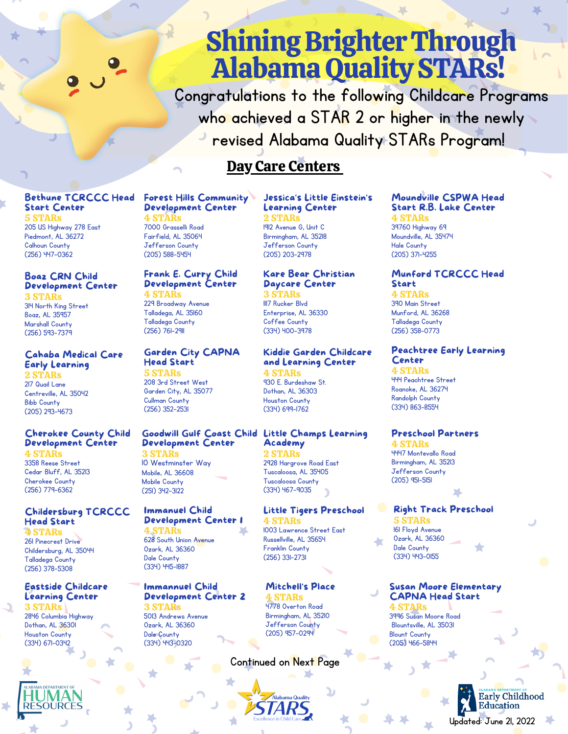# **Shining Brighter Through Alabama Quality STARs!**

Congratulations to the following Childcare Programs who achieved a STAR 2 or higher in the newly revised Alabama Quality STARs Program!

# Day Care Centers

#### Bethune TCRCCC Head Start Center 5 STARs

205 US Highway 278 East Piedmont, AL 36272 Calhoun County (256) 447-0362

#### Boaz CRN Child Development Center

3 STARs 314 North King Street Boaz, AL 35957 Marshall County (256) 593-7379

#### Cahaba Medical Care Early Learning 2 STARs

217 Quail Lane Centreville, AL 35042 Bibb County (205) 293-4673

#### Cherokee County Child Development Center

4 STARs 3358 Reese Street Cedar Bluff, AL 35213 Cherokee County (256) 779-6362

#### Childersburg TCRCCC Head Start

4 STARs 261 Pinecrest Drive Childersburg, AL 35044 Talladega County (256) 378-5308

#### Eastside Childcare Learning Center

3 STARs 2846 Columbia Highway Dothan, AL 36301 Houston County (334) 671-0342

#### Forest Hills Community Development Center

#### 4 STARs 7000 Grasselli Road Fairfield, AL 35064 Jefferson County (205) 588-5454

#### Frank E. Curry Child Development Center 4 STARs

229 Broadway Avenue Talladega, AL 35160 Talladega County (256) 761-2911

#### Garden City CAPNA Head Start

5 STARs 208 3rd Street West Garden City, AL 35077 Cullman County (256) 352-2531

#### Goodwill Gulf Coast Child Development Center

3 STARs 10 Westminster Way Mobile, AL 36608 Mobile County (251) 342-3122

#### Immanuel Child Development Center 1

4 STARs 628 South Union Avenue Ozark, AL 36360 Dale County (334) 445-1887

#### Immannuel Child Development Center 2 3 STARs

5013 Andrews Avenue Ozark, AL 36360 Dale County (334) 443-0320

#### Jessica's Little Einstein's Learning Center 2 STARs 1912 Avenue G, Unit C

Birmingham, AL 35218 Jefferson County (205) 203-2978

#### Kare Bear Christian Daycare Center TARs

1117 Rucker Blvd Enterprise, AL 36330 Coffee County (334) 400-3978

#### Kiddie Garden Childcare and Learning Center

4 STARs 930 E. Burdeshaw St. Dothan, AL 36303 Houston County (334) 699-1762

#### Little Champs Learning Academy

2 STARs 2928 Hargrove Road East Tuscaloosa, AL 35405 Tuscaloosa County (334) 467-9035

#### Little Tigers Preschool 4 STARs 1003 Lawrence Street East Russellville, AL 35654 Franklin County

Mitchell's Place **STARs** 4778 Overton Road Birmingham, AL 35210 Jefferson County (205) 957-0294

### Continued on Next Page

#### Moundville CSPWA Head Start R.B. Lake Center 4 STARs

39760 Highway 69 Moundville, AL 35474 Hale County (205) 371-4255

#### Munford TCRCCC Head Start

4 STARs 390 Main Street Munford, AL 36268 Talladega County (256) 358-0773

#### Peachtree Early Learning Center

4 STARs 444 Peachtree Street Roanoke, AL 36274 Randolph County (334) 863-8554

#### Preschool Partners

4 STARs 4447 Montevallo Road Birmingham, AL 35213 Jefferson County (205) 951-5151

### Right Track Preschool

**STARs** 161 Floyd Avenue Ozark, AL 36360 Dale County (334) 443-0155

#### Susan Moore Elementary CAPNA Head Start

4 STARs 3996 Susan Moore Road Blountsville, AL 35031 Blount County (205) 466-5844



(256) 331-2731